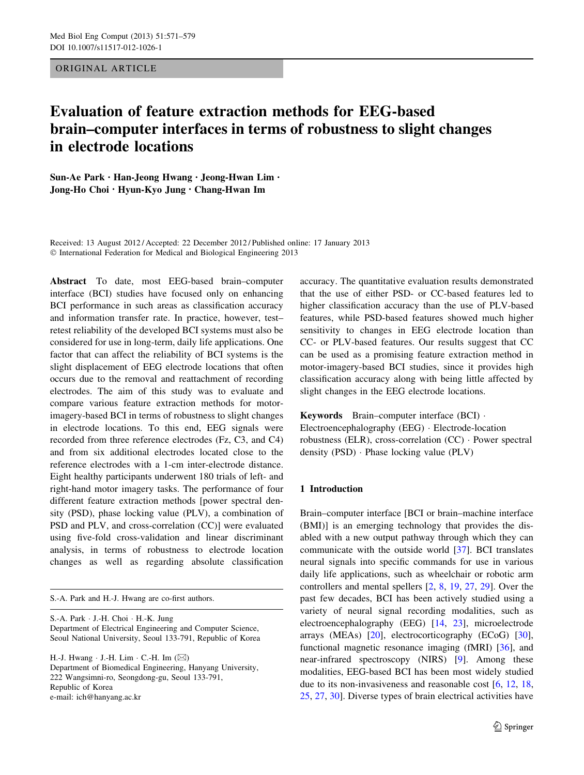ORIGINAL ARTICLE

# Evaluation of feature extraction methods for EEG-based brain–computer interfaces in terms of robustness to slight changes in electrode locations

Sun-Ae Park • Han-Jeong Hwang • Jeong-Hwan Lim • Jong-Ho Choi • Hyun-Kyo Jung • Chang-Hwan Im

Received: 13 August 2012 / Accepted: 22 December 2012 / Published online: 17 January 2013 © International Federation for Medical and Biological Engineering 2013

Abstract To date, most EEG-based brain–computer interface (BCI) studies have focused only on enhancing BCI performance in such areas as classification accuracy and information transfer rate. In practice, however, test– retest reliability of the developed BCI systems must also be considered for use in long-term, daily life applications. One factor that can affect the reliability of BCI systems is the slight displacement of EEG electrode locations that often occurs due to the removal and reattachment of recording electrodes. The aim of this study was to evaluate and compare various feature extraction methods for motorimagery-based BCI in terms of robustness to slight changes in electrode locations. To this end, EEG signals were recorded from three reference electrodes (Fz, C3, and C4) and from six additional electrodes located close to the reference electrodes with a 1-cm inter-electrode distance. Eight healthy participants underwent 180 trials of left- and right-hand motor imagery tasks. The performance of four different feature extraction methods [power spectral density (PSD), phase locking value (PLV), a combination of PSD and PLV, and cross-correlation (CC)] were evaluated using five-fold cross-validation and linear discriminant analysis, in terms of robustness to electrode location changes as well as regarding absolute classification

S.-A. Park and H.-J. Hwang are co-first authors.

S.-A. Park - J.-H. Choi - H.-K. Jung Department of Electrical Engineering and Computer Science, Seoul National University, Seoul 133-791, Republic of Korea

H.-J. Hwang  $\cdot$  J.-H. Lim  $\cdot$  C.-H. Im ( $\boxtimes$ ) Department of Biomedical Engineering, Hanyang University, 222 Wangsimni-ro, Seongdong-gu, Seoul 133-791, Republic of Korea e-mail: ich@hanyang.ac.kr

accuracy. The quantitative evaluation results demonstrated that the use of either PSD- or CC-based features led to higher classification accuracy than the use of PLV-based features, while PSD-based features showed much higher sensitivity to changes in EEG electrode location than CC- or PLV-based features. Our results suggest that CC can be used as a promising feature extraction method in motor-imagery-based BCI studies, since it provides high classification accuracy along with being little affected by slight changes in the EEG electrode locations.

Keywords Brain–computer interface (BCI) - Electroencephalography (EEG) - Electrode-location robustness (ELR), cross-correlation (CC) - Power spectral density (PSD) - Phase locking value (PLV)

### 1 Introduction

Brain–computer interface [BCI or brain–machine interface (BMI)] is an emerging technology that provides the disabled with a new output pathway through which they can communicate with the outside world [[37\]](#page-8-0). BCI translates neural signals into specific commands for use in various daily life applications, such as wheelchair or robotic arm controllers and mental spellers [\[2](#page-8-0), [8,](#page-8-0) [19,](#page-8-0) [27](#page-8-0), [29\]](#page-8-0). Over the past few decades, BCI has been actively studied using a variety of neural signal recording modalities, such as electroencephalography (EEG) [[14,](#page-8-0) [23](#page-8-0)], microelectrode arrays (MEAs) [[20\]](#page-8-0), electrocorticography (ECoG) [\[30](#page-8-0)], functional magnetic resonance imaging (fMRI) [[36\]](#page-8-0), and near-infrared spectroscopy (NIRS) [\[9](#page-8-0)]. Among these modalities, EEG-based BCI has been most widely studied due to its non-invasiveness and reasonable cost [[6,](#page-8-0) [12](#page-8-0), [18,](#page-8-0) [25](#page-8-0), [27](#page-8-0), [30](#page-8-0)]. Diverse types of brain electrical activities have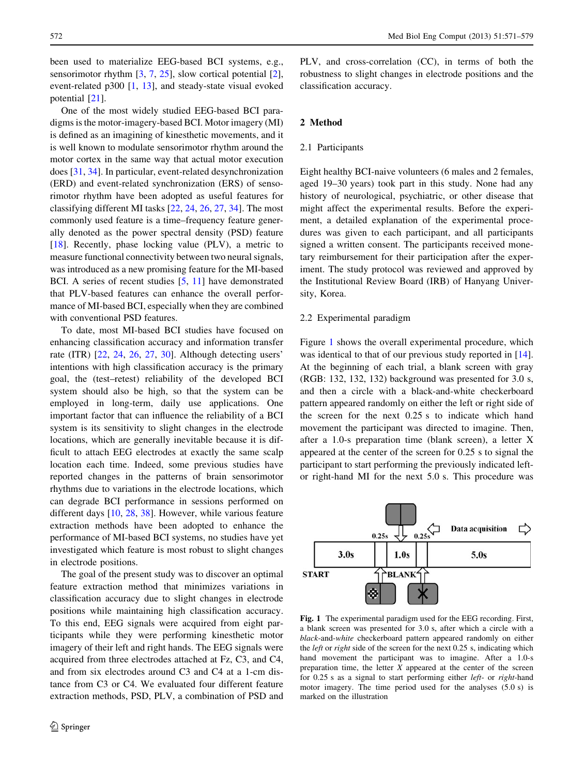<span id="page-1-0"></span>been used to materialize EEG-based BCI systems, e.g., sensorimotor rhythm  $[3, 7, 25]$  $[3, 7, 25]$  $[3, 7, 25]$  $[3, 7, 25]$  $[3, 7, 25]$  $[3, 7, 25]$ , slow cortical potential  $[2]$  $[2]$ , event-related  $p300$  [[1,](#page-8-0) [13\]](#page-8-0), and steady-state visual evoked potential [[21\]](#page-8-0).

One of the most widely studied EEG-based BCI paradigms is the motor-imagery-based BCI. Motor imagery (MI) is defined as an imagining of kinesthetic movements, and it is well known to modulate sensorimotor rhythm around the motor cortex in the same way that actual motor execution does [[31,](#page-8-0) [34](#page-8-0)]. In particular, event-related desynchronization (ERD) and event-related synchronization (ERS) of sensorimotor rhythm have been adopted as useful features for classifying different MI tasks [[22,](#page-8-0) [24,](#page-8-0) [26,](#page-8-0) [27,](#page-8-0) [34](#page-8-0)]. The most commonly used feature is a time–frequency feature generally denoted as the power spectral density (PSD) feature [\[18](#page-8-0)]. Recently, phase locking value (PLV), a metric to measure functional connectivity between two neural signals, was introduced as a new promising feature for the MI-based BCI. A series of recent studies [[5,](#page-8-0) [11\]](#page-8-0) have demonstrated that PLV-based features can enhance the overall performance of MI-based BCI, especially when they are combined with conventional PSD features.

To date, most MI-based BCI studies have focused on enhancing classification accuracy and information transfer rate (ITR) [\[22](#page-8-0), [24,](#page-8-0) [26,](#page-8-0) [27,](#page-8-0) [30\]](#page-8-0). Although detecting users' intentions with high classification accuracy is the primary goal, the (test–retest) reliability of the developed BCI system should also be high, so that the system can be employed in long-term, daily use applications. One important factor that can influence the reliability of a BCI system is its sensitivity to slight changes in the electrode locations, which are generally inevitable because it is difficult to attach EEG electrodes at exactly the same scalp location each time. Indeed, some previous studies have reported changes in the patterns of brain sensorimotor rhythms due to variations in the electrode locations, which can degrade BCI performance in sessions performed on different days [[10,](#page-8-0) [28](#page-8-0), [38](#page-8-0)]. However, while various feature extraction methods have been adopted to enhance the performance of MI-based BCI systems, no studies have yet investigated which feature is most robust to slight changes in electrode positions.

The goal of the present study was to discover an optimal feature extraction method that minimizes variations in classification accuracy due to slight changes in electrode positions while maintaining high classification accuracy. To this end, EEG signals were acquired from eight participants while they were performing kinesthetic motor imagery of their left and right hands. The EEG signals were acquired from three electrodes attached at Fz, C3, and C4, and from six electrodes around C3 and C4 at a 1-cm distance from C3 or C4. We evaluated four different feature extraction methods, PSD, PLV, a combination of PSD and PLV, and cross-correlation (CC), in terms of both the robustness to slight changes in electrode positions and the classification accuracy.

## 2 Method

#### 2.1 Participants

Eight healthy BCI-naive volunteers (6 males and 2 females, aged 19–30 years) took part in this study. None had any history of neurological, psychiatric, or other disease that might affect the experimental results. Before the experiment, a detailed explanation of the experimental procedures was given to each participant, and all participants signed a written consent. The participants received monetary reimbursement for their participation after the experiment. The study protocol was reviewed and approved by the Institutional Review Board (IRB) of Hanyang University, Korea.

#### 2.2 Experimental paradigm

Figure 1 shows the overall experimental procedure, which was identical to that of our previous study reported in [\[14](#page-8-0)]. At the beginning of each trial, a blank screen with gray (RGB: 132, 132, 132) background was presented for 3.0 s, and then a circle with a black-and-white checkerboard pattern appeared randomly on either the left or right side of the screen for the next 0.25 s to indicate which hand movement the participant was directed to imagine. Then, after a 1.0-s preparation time (blank screen), a letter X appeared at the center of the screen for 0.25 s to signal the participant to start performing the previously indicated leftor right-hand MI for the next 5.0 s. This procedure was



Fig. 1 The experimental paradigm used for the EEG recording. First, a blank screen was presented for 3.0 s, after which a circle with a black-and-white checkerboard pattern appeared randomly on either the left or right side of the screen for the next 0.25 s, indicating which hand movement the participant was to imagine. After a 1.0-s preparation time, the letter  $X$  appeared at the center of the screen for 0.25 s as a signal to start performing either left- or right-hand motor imagery. The time period used for the analyses (5.0 s) is marked on the illustration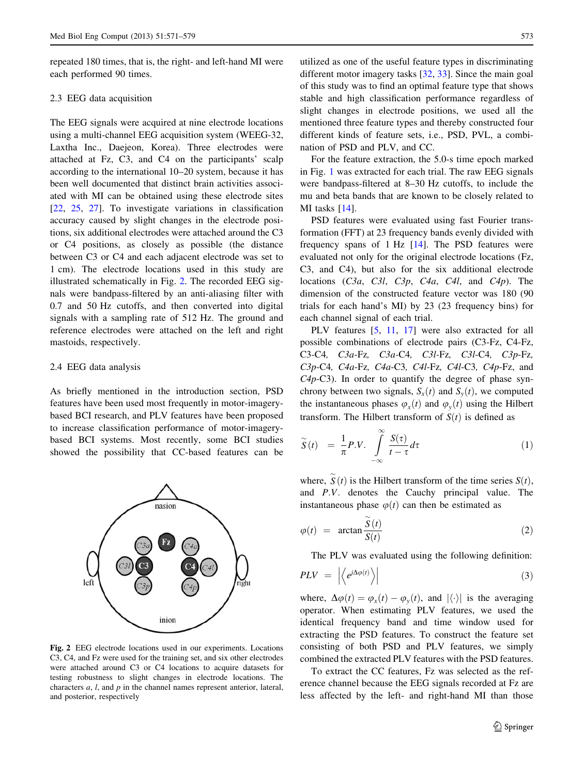repeated 180 times, that is, the right- and left-hand MI were each performed 90 times.

### 2.3 EEG data acquisition

The EEG signals were acquired at nine electrode locations using a multi-channel EEG acquisition system (WEEG-32, Laxtha Inc., Daejeon, Korea). Three electrodes were attached at Fz, C3, and C4 on the participants' scalp according to the international 10–20 system, because it has been well documented that distinct brain activities associated with MI can be obtained using these electrode sites [\[22](#page-8-0), [25](#page-8-0), [27\]](#page-8-0). To investigate variations in classification accuracy caused by slight changes in the electrode positions, six additional electrodes were attached around the C3 or C4 positions, as closely as possible (the distance between C3 or C4 and each adjacent electrode was set to 1 cm). The electrode locations used in this study are illustrated schematically in Fig. 2. The recorded EEG signals were bandpass-filtered by an anti-aliasing filter with 0.7 and 50 Hz cutoffs, and then converted into digital signals with a sampling rate of 512 Hz. The ground and reference electrodes were attached on the left and right mastoids, respectively.

## 2.4 EEG data analysis

As briefly mentioned in the introduction section, PSD features have been used most frequently in motor-imagerybased BCI research, and PLV features have been proposed to increase classification performance of motor-imagerybased BCI systems. Most recently, some BCI studies showed the possibility that CC-based features can be



Fig. 2 EEG electrode locations used in our experiments. Locations C3, C4, and Fz were used for the training set, and six other electrodes were attached around C3 or C4 locations to acquire datasets for testing robustness to slight changes in electrode locations. The characters a, l, and p in the channel names represent anterior, lateral, and posterior, respectively

utilized as one of the useful feature types in discriminating different motor imagery tasks [\[32](#page-8-0), [33](#page-8-0)]. Since the main goal of this study was to find an optimal feature type that shows stable and high classification performance regardless of slight changes in electrode positions, we used all the mentioned three feature types and thereby constructed four different kinds of feature sets, i.e., PSD, PVL, a combination of PSD and PLV, and CC.

For the feature extraction, the 5.0-s time epoch marked in Fig. [1](#page-1-0) was extracted for each trial. The raw EEG signals were bandpass-filtered at 8–30 Hz cutoffs, to include the mu and beta bands that are known to be closely related to MI tasks [\[14](#page-8-0)].

PSD features were evaluated using fast Fourier transformation (FFT) at 23 frequency bands evenly divided with frequency spans of 1 Hz  $[14]$  $[14]$ . The PSD features were evaluated not only for the original electrode locations (Fz, C3, and C4), but also for the six additional electrode locations  $(C3a, C3l, C3p, C4a, C4l, and C4p)$ . The dimension of the constructed feature vector was 180 (90 trials for each hand's MI) by 23 (23 frequency bins) for each channel signal of each trial.

PLV features [\[5](#page-8-0), [11,](#page-8-0) [17\]](#page-8-0) were also extracted for all possible combinations of electrode pairs (C3-Fz, C4-Fz, C3-C4, C3a-Fz, C3a-C4, C3l-Fz, C3l-C4, C3p-Fz, C3p-C4, C4a-Fz, C4a-C3, C4l-Fz, C4l-C3, C4p-Fz, and  $C4p$ -C3). In order to quantify the degree of phase synchrony between two signals,  $S_x(t)$  and  $S_y(t)$ , we computed the instantaneous phases  $\varphi_r(t)$  and  $\varphi_v(t)$  using the Hilbert transform. The Hilbert transform of  $S(t)$  is defined as

$$
\widetilde{S}(t) = \frac{1}{\pi} P.V. \int_{-\infty}^{\infty} \frac{S(\tau)}{t - \tau} d\tau \tag{1}
$$

where,  $\tilde{S}(t)$  is the Hilbert transform of the time series  $S(t)$ , and P:V: denotes the Cauchy principal value. The instantaneous phase  $\varphi(t)$  can then be estimated as

$$
\varphi(t) = \arctan \frac{\widetilde{S}(t)}{S(t)} \tag{2}
$$

The PLV was evaluated using the following definition:

$$
PLV = \left| \left\langle e^{j\Delta\varphi(t)} \right\rangle \right| \tag{3}
$$

where,  $\Delta \varphi(t) = \varphi_x(t) - \varphi_y(t)$ , and  $|\langle \cdot \rangle|$  is the averaging operator. When estimating PLV features, we used the identical frequency band and time window used for extracting the PSD features. To construct the feature set consisting of both PSD and PLV features, we simply combined the extracted PLV features with the PSD features.

To extract the CC features, Fz was selected as the reference channel because the EEG signals recorded at Fz are less affected by the left- and right-hand MI than those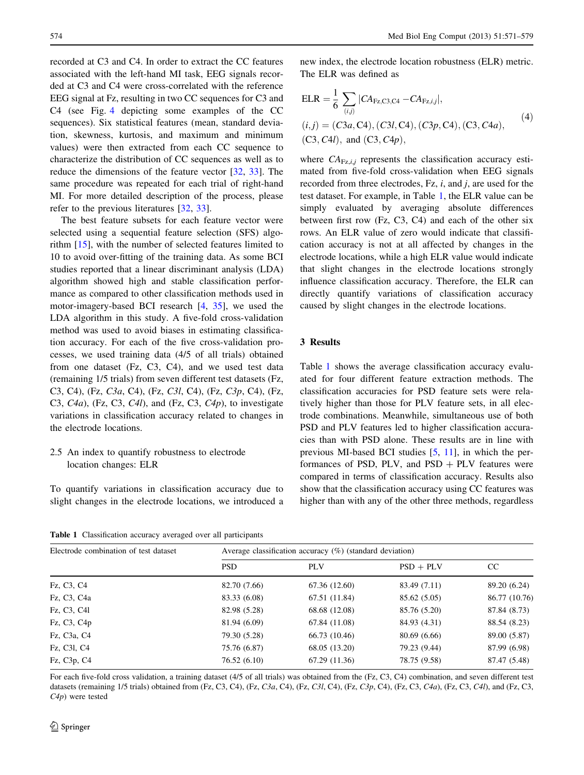recorded at C3 and C4. In order to extract the CC features associated with the left-hand MI task, EEG signals recorded at C3 and C4 were cross-correlated with the reference EEG signal at Fz, resulting in two CC sequences for C3 and C4 (see Fig. [4](#page-5-0) depicting some examples of the CC sequences). Six statistical features (mean, standard deviation, skewness, kurtosis, and maximum and minimum values) were then extracted from each CC sequence to characterize the distribution of CC sequences as well as to reduce the dimensions of the feature vector [[32,](#page-8-0) [33](#page-8-0)]. The same procedure was repeated for each trial of right-hand MI. For more detailed description of the process, please refer to the previous literatures [\[32](#page-8-0), [33](#page-8-0)].

The best feature subsets for each feature vector were selected using a sequential feature selection (SFS) algorithm [\[15](#page-8-0)], with the number of selected features limited to 10 to avoid over-fitting of the training data. As some BCI studies reported that a linear discriminant analysis (LDA) algorithm showed high and stable classification performance as compared to other classification methods used in motor-imagery-based BCI research [[4,](#page-8-0) [35\]](#page-8-0), we used the LDA algorithm in this study. A five-fold cross-validation method was used to avoid biases in estimating classification accuracy. For each of the five cross-validation processes, we used training data (4/5 of all trials) obtained from one dataset (Fz, C3, C4), and we used test data (remaining 1/5 trials) from seven different test datasets (Fz, C3, C4), (Fz, C3a, C4), (Fz, C3l, C4), (Fz, C3p, C4), (Fz, C3,  $C4a$ ), (Fz, C3,  $C4l$ ), and (Fz, C3,  $C4p$ ), to investigate variations in classification accuracy related to changes in the electrode locations.

2.5 An index to quantify robustness to electrode location changes: ELR

To quantify variations in classification accuracy due to slight changes in the electrode locations, we introduced a

Table 1 Classification accuracy averaged over all participants

new index, the electrode location robustness (ELR) metric. The ELR was defined as

ELR = 
$$
\frac{1}{6} \sum_{(i,j)} |CA_{Fz,C3,C4} - CA_{Fz,i,j}|,
$$
  
\n(*i,j*) = (*C3a*, *C4*), (*C3l*, *C4*), (*C3p*, *C4*), (*C3*, *C4a*),  
\n(*C3*, *C4l*), and (*C3*, *C4p*),

where  $CA_{Fz,i,j}$  represents the classification accuracy estimated from five-fold cross-validation when EEG signals recorded from three electrodes,  $Fz$ ,  $i$ , and  $j$ , are used for the test dataset. For example, in Table 1, the ELR value can be simply evaluated by averaging absolute differences between first row (Fz, C3, C4) and each of the other six rows. An ELR value of zero would indicate that classification accuracy is not at all affected by changes in the electrode locations, while a high ELR value would indicate that slight changes in the electrode locations strongly influence classification accuracy. Therefore, the ELR can directly quantify variations of classification accuracy caused by slight changes in the electrode locations.

### 3 Results

Table 1 shows the average classification accuracy evaluated for four different feature extraction methods. The classification accuracies for PSD feature sets were relatively higher than those for PLV feature sets, in all electrode combinations. Meanwhile, simultaneous use of both PSD and PLV features led to higher classification accuracies than with PSD alone. These results are in line with previous MI-based BCI studies [[5,](#page-8-0) [11\]](#page-8-0), in which the performances of PSD, PLV, and  $PSD + PLV$  features were compared in terms of classification accuracy. Results also show that the classification accuracy using CC features was higher than with any of the other three methods, regardless

| Electrode combination of test dataset | Average classification accuracy $(\%)$ (standard deviation) |               |              |               |  |
|---------------------------------------|-------------------------------------------------------------|---------------|--------------|---------------|--|
|                                       | <b>PSD</b>                                                  | PLV           | $PSD + PLV$  | CC.           |  |
| Fz, C <sub>3</sub> , C <sub>4</sub>   | 82.70 (7.66)                                                | 67.36 (12.60) | 83.49 (7.11) | 89.20 (6.24)  |  |
| Fz, C3, C4a                           | 83.33 (6.08)                                                | 67.51 (11.84) | 85.62 (5.05) | 86.77 (10.76) |  |
| Fz, C3, C41                           | 82.98 (5.28)                                                | 68.68 (12.08) | 85.76 (5.20) | 87.84 (8.73)  |  |
| Fz, C3, C4p                           | 81.94 (6.09)                                                | 67.84 (11.08) | 84.93 (4.31) | 88.54 (8.23)  |  |
| Fz, C <sub>3</sub> a, C <sub>4</sub>  | 79.30 (5.28)                                                | 66.73 (10.46) | 80.69 (6.66) | 89.00 (5.87)  |  |
| Fz, C31, C4                           | 75.76 (6.87)                                                | 68.05 (13.20) | 79.23 (9.44) | 87.99 (6.98)  |  |
| Fz, C3p, C4                           | 76.52 (6.10)                                                | 67.29 (11.36) | 78.75 (9.58) | 87.47 (5.48)  |  |

For each five-fold cross validation, a training dataset (4/5 of all trials) was obtained from the (Fz, C3, C4) combination, and seven different test datasets (remaining 1/5 trials) obtained from (Fz, C3, C4), (Fz, C3a, C4), (Fz, C3l, C4), (Fz, C3p, C4), (Fz, C3, C4a), (Fz, C3, C4l), and (Fz, C3, C4p) were tested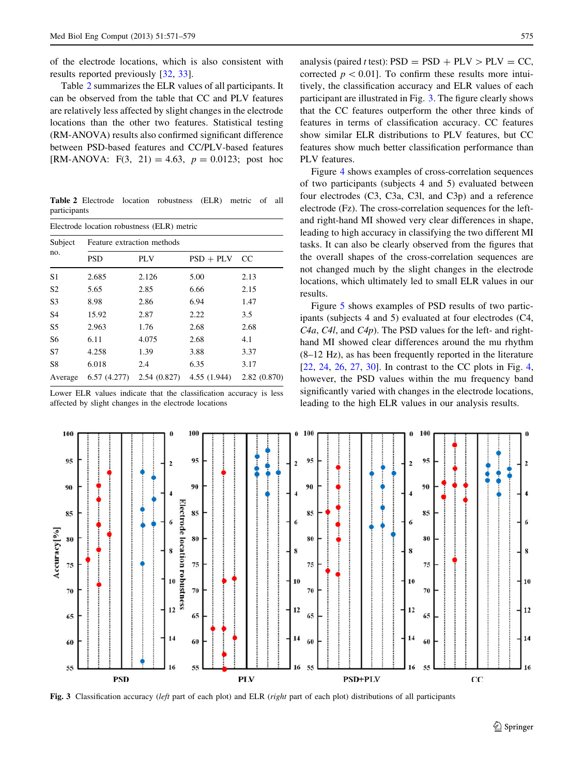<span id="page-4-0"></span>of the electrode locations, which is also consistent with results reported previously [[32,](#page-8-0) [33\]](#page-8-0).

Table 2 summarizes the ELR values of all participants. It can be observed from the table that CC and PLV features are relatively less affected by slight changes in the electrode locations than the other two features. Statistical testing (RM-ANOVA) results also confirmed significant difference between PSD-based features and CC/PLV-based features [RM-ANOVA: F(3, 21) = 4.63,  $p = 0.0123$ ; post hoc

Table 2 Electrode location robustness (ELR) metric of all participants

| Electrode location robustness (ELR) metric |                            |             |              |             |  |  |
|--------------------------------------------|----------------------------|-------------|--------------|-------------|--|--|
| Subject<br>no.                             | Feature extraction methods |             |              |             |  |  |
|                                            | PSD                        | <b>PLV</b>  | $PSD + PLV$  | -CC         |  |  |
| S <sub>1</sub>                             | 2.685                      | 2.126       | 5.00         | 2.13        |  |  |
| S <sub>2</sub>                             | 5.65                       | 2.85        | 6.66         | 2.15        |  |  |
| S <sub>3</sub>                             | 8.98                       | 2.86        | 6.94         | 1.47        |  |  |
| S <sub>4</sub>                             | 15.92                      | 2.87        | 2.22         | 3.5         |  |  |
| S <sub>5</sub>                             | 2.963                      | 1.76        | 2.68         | 2.68        |  |  |
| S6                                         | 6.11                       | 4.075       | 2.68         | 4.1         |  |  |
| S7                                         | 4.258                      | 1.39        | 3.88         | 3.37        |  |  |
| S8                                         | 6.018                      | 2.4         | 6.35         | 3.17        |  |  |
| Average                                    | 6.57(4.277)                | 2.54(0.827) | 4.55 (1.944) | 2.82(0.870) |  |  |

Lower ELR values indicate that the classification accuracy is less affected by slight changes in the electrode locations

analysis (paired t test):  $PSD = PSD + PLV > PLV = CC$ . corrected  $p < 0.01$ . To confirm these results more intuitively, the classification accuracy and ELR values of each participant are illustrated in Fig. 3. The figure clearly shows that the CC features outperform the other three kinds of features in terms of classification accuracy. CC features show similar ELR distributions to PLV features, but CC features show much better classification performance than PLV features.

Figure [4](#page-5-0) shows examples of cross-correlation sequences of two participants (subjects 4 and 5) evaluated between four electrodes (C3, C3a, C3l, and C3p) and a reference electrode (Fz). The cross-correlation sequences for the leftand right-hand MI showed very clear differences in shape, leading to high accuracy in classifying the two different MI tasks. It can also be clearly observed from the figures that the overall shapes of the cross-correlation sequences are not changed much by the slight changes in the electrode locations, which ultimately led to small ELR values in our results.

Figure [5](#page-6-0) shows examples of PSD results of two participants (subjects 4 and 5) evaluated at four electrodes (C4,  $C4a$ ,  $C4l$ , and  $C4p$ ). The PSD values for the left- and righthand MI showed clear differences around the mu rhythm (8–12 Hz), as has been frequently reported in the literature [\[22](#page-8-0), [24](#page-8-0), [26](#page-8-0), [27](#page-8-0), [30](#page-8-0)]. In contrast to the CC plots in Fig. [4,](#page-5-0) however, the PSD values within the mu frequency band significantly varied with changes in the electrode locations, leading to the high ELR values in our analysis results.



Fig. 3 Classification accuracy (left part of each plot) and ELR (right part of each plot) distributions of all participants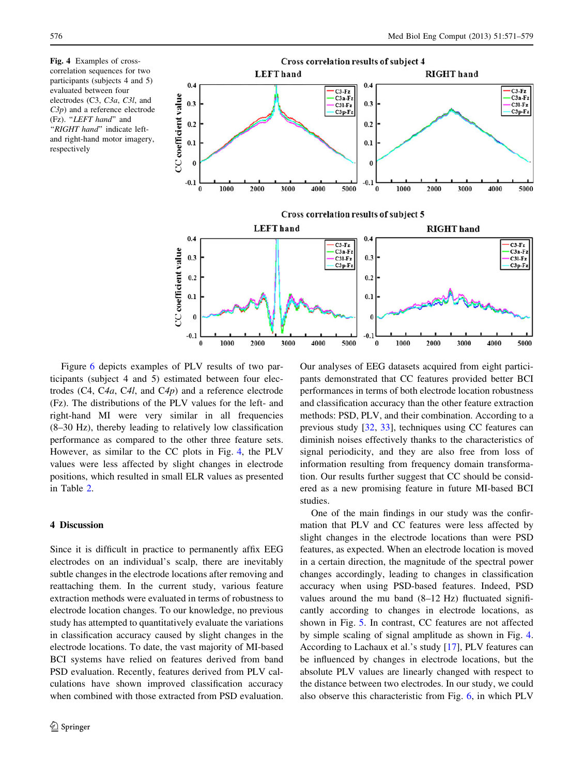<span id="page-5-0"></span>Fig. 4 Examples of crosscorrelation sequences for two participants (subjects 4 and 5) evaluated between four electrodes (C3, C3a, C3l, and  $C3p$ ) and a reference electrode (Fz). "LEFT hand" and "RIGHT hand" indicate leftand right-hand motor imagery, respectively



Figure [6](#page-7-0) depicts examples of PLV results of two participants (subject 4 and 5) estimated between four electrodes (C4, C4a, C4l, and C4p) and a reference electrode (Fz). The distributions of the PLV values for the left- and right-hand MI were very similar in all frequencies (8–30 Hz), thereby leading to relatively low classification performance as compared to the other three feature sets. However, as similar to the CC plots in Fig. 4, the PLV values were less affected by slight changes in electrode positions, which resulted in small ELR values as presented in Table [2](#page-4-0).

### 4 Discussion

Since it is difficult in practice to permanently affix EEG electrodes on an individual's scalp, there are inevitably subtle changes in the electrode locations after removing and reattaching them. In the current study, various feature extraction methods were evaluated in terms of robustness to electrode location changes. To our knowledge, no previous study has attempted to quantitatively evaluate the variations in classification accuracy caused by slight changes in the electrode locations. To date, the vast majority of MI-based BCI systems have relied on features derived from band PSD evaluation. Recently, features derived from PLV calculations have shown improved classification accuracy when combined with those extracted from PSD evaluation. Our analyses of EEG datasets acquired from eight participants demonstrated that CC features provided better BCI performances in terms of both electrode location robustness and classification accuracy than the other feature extraction methods: PSD, PLV, and their combination. According to a previous study [\[32](#page-8-0), [33](#page-8-0)], techniques using CC features can diminish noises effectively thanks to the characteristics of signal periodicity, and they are also free from loss of information resulting from frequency domain transformation. Our results further suggest that CC should be considered as a new promising feature in future MI-based BCI studies.

One of the main findings in our study was the confirmation that PLV and CC features were less affected by slight changes in the electrode locations than were PSD features, as expected. When an electrode location is moved in a certain direction, the magnitude of the spectral power changes accordingly, leading to changes in classification accuracy when using PSD-based features. Indeed, PSD values around the mu band (8–12 Hz) fluctuated significantly according to changes in electrode locations, as shown in Fig. [5](#page-6-0). In contrast, CC features are not affected by simple scaling of signal amplitude as shown in Fig. 4. According to Lachaux et al.'s study [[17\]](#page-8-0), PLV features can be influenced by changes in electrode locations, but the absolute PLV values are linearly changed with respect to the distance between two electrodes. In our study, we could also observe this characteristic from Fig. [6](#page-7-0), in which PLV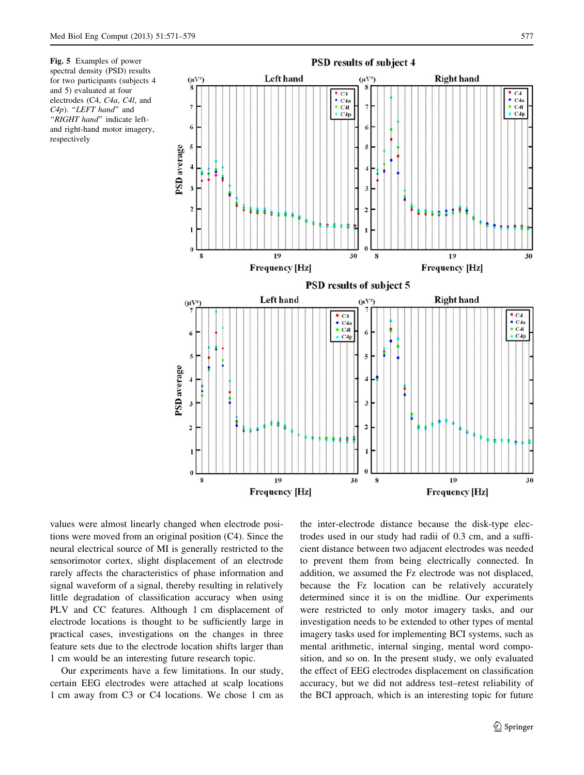<span id="page-6-0"></span>Fig. 5 Examples of power spectral density (PSD) results for two participants (subjects 4 and 5) evaluated at four electrodes (C4, C4a, C4l, and  $C4p$ ). "LEFT hand" and "RIGHT hand" indicate leftand right-hand motor imagery, respectively



values were almost linearly changed when electrode positions were moved from an original position (C4). Since the neural electrical source of MI is generally restricted to the sensorimotor cortex, slight displacement of an electrode rarely affects the characteristics of phase information and signal waveform of a signal, thereby resulting in relatively little degradation of classification accuracy when using PLV and CC features. Although 1 cm displacement of electrode locations is thought to be sufficiently large in practical cases, investigations on the changes in three feature sets due to the electrode location shifts larger than 1 cm would be an interesting future research topic.

Our experiments have a few limitations. In our study, certain EEG electrodes were attached at scalp locations 1 cm away from C3 or C4 locations. We chose 1 cm as the inter-electrode distance because the disk-type electrodes used in our study had radii of 0.3 cm, and a sufficient distance between two adjacent electrodes was needed to prevent them from being electrically connected. In addition, we assumed the Fz electrode was not displaced, because the Fz location can be relatively accurately determined since it is on the midline. Our experiments were restricted to only motor imagery tasks, and our investigation needs to be extended to other types of mental imagery tasks used for implementing BCI systems, such as mental arithmetic, internal singing, mental word composition, and so on. In the present study, we only evaluated the effect of EEG electrodes displacement on classification accuracy, but we did not address test–retest reliability of the BCI approach, which is an interesting topic for future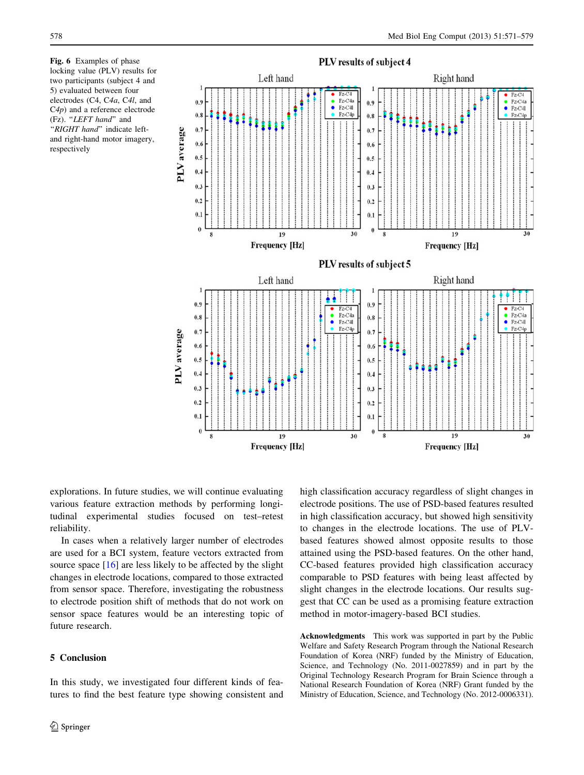<span id="page-7-0"></span>Fig. 6 Examples of phase locking value (PLV) results for two participants (subject 4 and 5) evaluated between four electrodes (C4, C4a, C4l, and C4p) and a reference electrode (Fz). "LEFT hand" and "RIGHT hand" indicate leftand right-hand motor imagery, respectively



explorations. In future studies, we will continue evaluating various feature extraction methods by performing longitudinal experimental studies focused on test–retest reliability.

In cases when a relatively larger number of electrodes are used for a BCI system, feature vectors extracted from source space  $[16]$  $[16]$  are less likely to be affected by the slight changes in electrode locations, compared to those extracted from sensor space. Therefore, investigating the robustness to electrode position shift of methods that do not work on sensor space features would be an interesting topic of future research.

## 5 Conclusion

In this study, we investigated four different kinds of features to find the best feature type showing consistent and high classification accuracy regardless of slight changes in electrode positions. The use of PSD-based features resulted in high classification accuracy, but showed high sensitivity to changes in the electrode locations. The use of PLVbased features showed almost opposite results to those attained using the PSD-based features. On the other hand, CC-based features provided high classification accuracy comparable to PSD features with being least affected by slight changes in the electrode locations. Our results suggest that CC can be used as a promising feature extraction method in motor-imagery-based BCI studies.

Acknowledgments This work was supported in part by the Public Welfare and Safety Research Program through the National Research Foundation of Korea (NRF) funded by the Ministry of Education, Science, and Technology (No. 2011-0027859) and in part by the Original Technology Research Program for Brain Science through a National Research Foundation of Korea (NRF) Grant funded by the Ministry of Education, Science, and Technology (No. 2012-0006331).